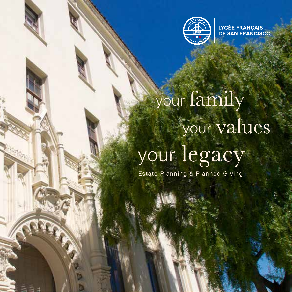

**LYCÉE FRANÇAIS<br>DE SAN FRANCISCO** 

# your family your values your legacy

Estate Planning & Planned Giving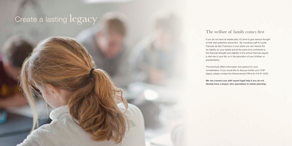### Create a lasting legacy

#### The welfare of family comes first

If you do not have an estate plan, it's time to give serious thought to that vital protective document. By including a gift to Lycée Français de San Francisco in your plans you can reduce the tax liability on your estate and at the same time contribute to the financial strength and stability of the school that has played a vital role in your life, or in the education of your children or

grandchildren..

This brochure offers information and options for your consideration. If you would like to discuss further your LFSF legacy, please contact the Advancement Office at 415-61-5232.

**We can connect you with expert legal help if you do not already have a lawyer, who specializes in estate planning.**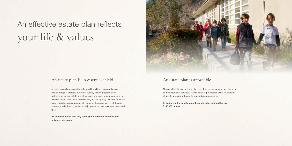### An effective estate plan reflects your life & values

#### An estate plan is an essential shield

An estate plan is an essential safeguard for all families regardless of wealth or age. It protects survivors' assets, insures proper care of children, minimizes estate and other taxes and gives your instructions for distributions in case of sudden disability and incapacity. Without an estate plan, such decisions automatically become the responsibility of the court system, are decided by an impartial judge and invoke maximum costs and fees.

**An effective estate plan ably serves your personal, financial, and philanthropic goals.**



#### An estate plan is affordable

The penalties for not having a plan can often be more costly than the price of creating one in advance. "Small estates" procedures allow for transfer of assets at death without a formal probate proceeding.

**In California, the small estate threshold is for estates that are \$150,000 or less.**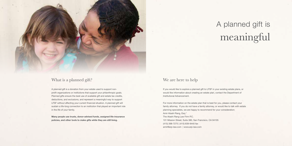

### What is a planned gift?

A planned gift is a donation from your estate used to support nonprofit organizations or institutions that support your philanthropic goals. Planned gifts ensure the best use of available gift and estate tax credits, deductions, and exclusions, and represent a meaningful way to support LFSF without affecting your current financial situation. A planned gift will sustain a life-long connection to an institution that played an important role in the life of your family.

**Many people use trusts, donor-advised funds, assigned life-insurance policies, and other tools to make gifts while they are still living.**

#### We are here to help

If you would like to explore a planned gift to LFSF in your existing estate plans, or would like information about creating an estate plan, contact the Department of Institutional Advancement.

For more information on the estate plan that is best for you, please contact your family attorney. If you do not have a family attorney, or would like to talk with estate planning specialists, we are happy to recommend for your consideration: Amir Atashi Rang, Esq.\* The Atashi Rang Law Firm P.C. 101 Mission Street, Suite 380
, San Francisco, CA 94105 (415) 398-7275 | (415) 839-9440 fax amir@arp-law.com | www.arp-law.com

## A planned gift is meaningful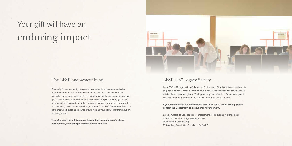#### The LFSF Endowment Fund

Planned gifts are frequently designated to a school's endowment and often bear the names of their donors. Endowments provide enormous financial strength, stability, and longevity to an educational institution. Unlike annual fund gifts, contributions to an endowment fund are never spent. Rather, gifts to an endowment are invested and in turn generate interest and profits. The larger the endowment grows, the more profit it generates. The LFSF Endowment Fund is a permanent, self-sustaining source of funding and your gift will therefore have an enduring impact.

**Year after year you will be supporting student programs, professional development, scholarships, student life and activities.**



#### LFSF 1967 Legacy Society

Our *LFSF 1967 Legacy Society* is named for the year of the institution's creation. Its purpose is to honor those donors who have generously included the school in their estate plans or planned giving. Their generosity is a reflection of a personal goal to help insure a strong and enduring financial foundation for the school.

**If you are interested in a membership with** *LFSF 1967 Legacy Society* **please contact the Department of Institutional Advancement.**

Lycée Français de San Francisco | Department of Institutional Advancement 415-661-5232 - Eric Frugé extension 2701 advancement@lelycee.org 755 Ashbury Street, San Francisco, CA 94117

### Your gift will have an enduring impact